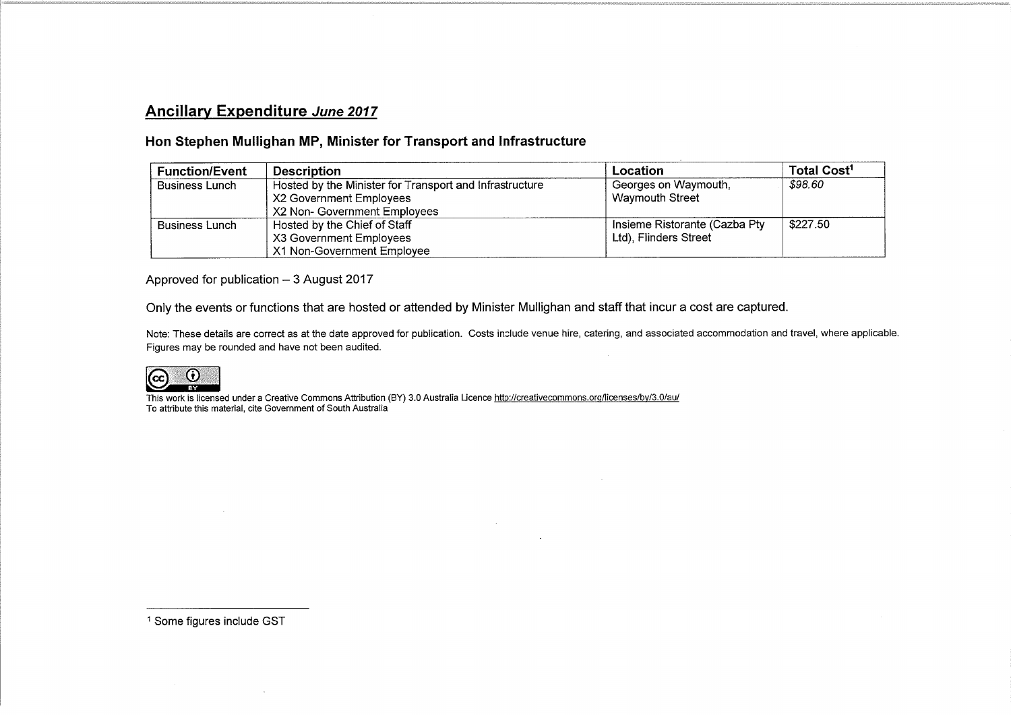## Ancillary Expenditure June 2017

## Hon Stephen Mullighan MP, Minister for Transport and Infrastructure

| <b>Function/Event</b> | <b>Description</b>                                                                                                 | Location                                               | Total Cost <sup>1</sup> |
|-----------------------|--------------------------------------------------------------------------------------------------------------------|--------------------------------------------------------|-------------------------|
| <b>Business Lunch</b> | Hosted by the Minister for Transport and Infrastructure<br>X2 Government Employees<br>X2 Non- Government Employees | Georges on Waymouth,<br>Waymouth Street                | \$98.60                 |
| Business Lunch        | Hosted by the Chief of Staff<br>X3 Government Employees<br>X1 Non-Government Employee                              | Insieme Ristorante (Cazba Pty<br>Ltd), Flinders Street | \$227.50                |

Approved for publication  $-3$  August 2017

Only the events or functions that are hosted or attended by Minister Mullighan and staff that incur a cost are captured.

Note: These details are correct as at the date approved for publication. Costs include venue hire, catering, and associated accommodation and travel, where applicable. Figures may be rounded and have not been audited.



This work is licensed under a Creative Commons Attribution (BY) 3.0 Australia Licence http://creativecommons.org/licenses/by/3.0/au/ To attribute this material, cite Government of South Australia

1 Some figures include GST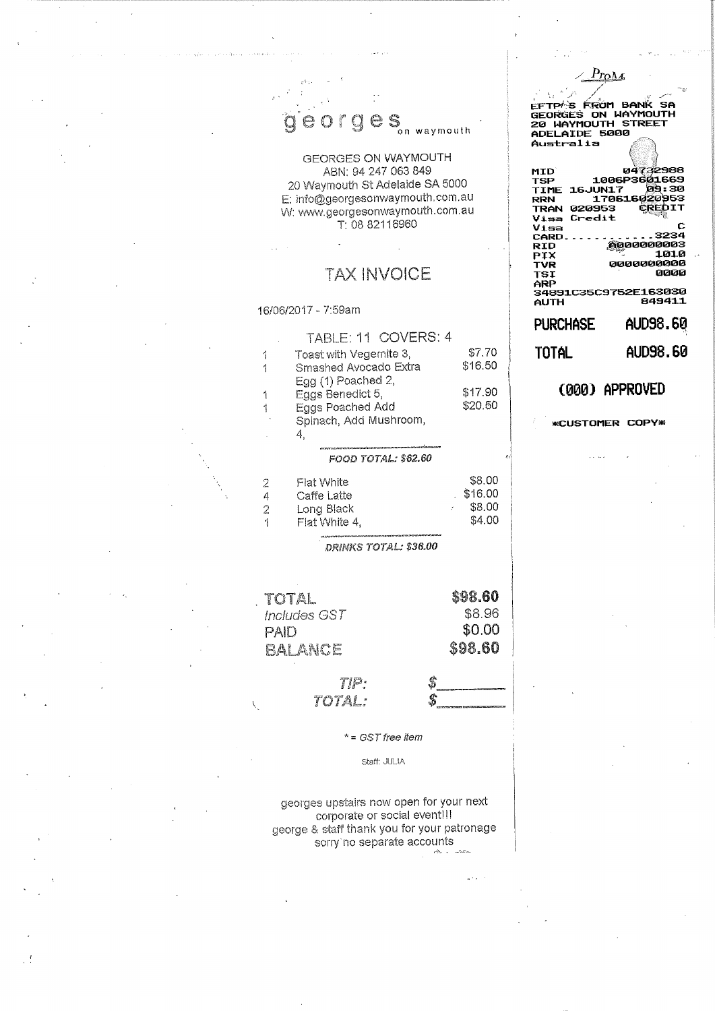$\hat{g}$  e orges  $\sum_{n=1}^{\infty}$  waymouth

**GEORGES ON WAYMOUTH** ABN: 94 247 063 849 20 Waymouth St Adelaide SA 5000 E: info@georgesonwaymouth.com.au W: www.georgesonwaymouth.com.au T: 08 82116960

## **TAX INVOICE**

16/06/2017 - 7:59am

|   | TABLE: 11 COVERS: 4                            |         |
|---|------------------------------------------------|---------|
|   | Toast with Vegemite 3,                         | \$7.70  |
| 1 | Smashed Avocado Extra                          | \$16.50 |
|   | Egg (1) Poached 2,                             |         |
|   | Eggs Benedict 5,                               | \$17.90 |
| 1 | Eggs Poached Add                               | \$20.50 |
|   | Spinach, Add Mushroom,                         |         |
|   | 4.                                             |         |
|   | had anticial revisions in the contract product |         |
|   | FOOD TOTAL: \$62.60                            |         |
| 2 | Flat White                                     | \$8.00  |
| 4 | Caffe Latte                                    | \$16.00 |
| 2 | Long Black                                     | \$8.00  |
| 1 | Flat White 4,                                  | \$4.00  |
|   |                                                |         |

DRINKS TOTAL: \$36.00

| TOTAL        |      |   | \$98.60 |
|--------------|------|---|---------|
| Includes GST |      |   | \$8.96  |
| PAID         |      |   | \$0.00  |
| BALANCE      |      |   | \$98.60 |
|              |      |   |         |
|              | TIP: | S |         |

 $* = GST$  free item

TOTAL:

Staff: JULIA

georges upstairs now open for your next corporate or social eventill george & staff thank you for your patronage sorry no separate accounts

u).

EFTP<sup>/</sup>S FRÔM BANK SA<br>GEORGES ON WAYMOUTH<br>20 WAYMOUTH STREET<br>ADELAIDE 5000<br>Australia  $\mathbf{M}$ 

 $P_{\text{LOM}}$ 

| ruu                    | ------               |
|------------------------|----------------------|
| TSP                    | 1006P3601669         |
| <b>16JUN17</b><br>TIME | ตร: 30               |
| RRN                    | 170616020953         |
| 020953<br>TRAN         | <b>CREDIT</b>        |
| Credit<br>Visa         |                      |
| Visa                   | с                    |
| CARD                   | . 3234               |
| <b>RID</b>             | ,,,,,,,,,,,,,,,,,    |
| PIX                    | 1010                 |
| TVR                    | 0000000000           |
| TSI                    | 0000                 |
| ARP                    |                      |
|                        | 34891C35C9752E163030 |
| AUTH                   | 849411               |
| Purchase               | AUD98.60             |
|                        |                      |
| TOTAL                  | AUD98.60             |
|                        |                      |

(000) APPROVED

**\*CUSTOMER COPY\***